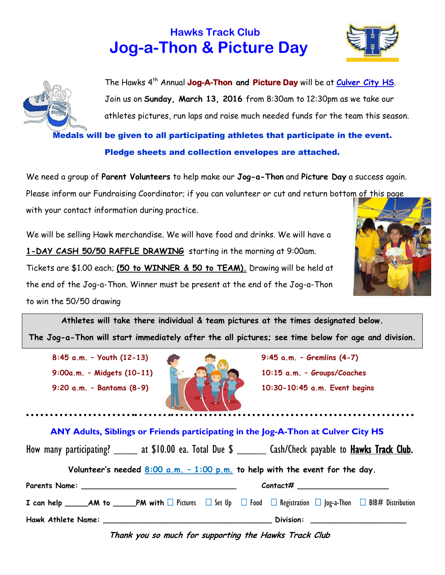



The Hawks 4 th Annual **Jog-A-Thon and Picture Day** will be at **Culver City HS**. Join us on **Sunday, March 13, 2016** from 8:30am to 12:30pm as we take our athletes pictures, run laps and raise much needed funds for the team this season.

Medals will be given to all participating athletes that participate in the event. Pledge sheets and collection envelopes are attached.

We need a group of **Parent Volunteers** to help make our **Jog-a-Thon** and **Picture Day** a success again.

Please inform our Fundraising Coordinator; if you can volunteer or cut and return bottom of this page

with your contact information during practice.

We will be selling Hawk merchandise. We will have food and drinks. We will have a **1-DAY CASH 50/50 RAFFLE DRAWING** starting in the morning at 9:00am. Tickets are \$1.00 each; **(50 to WINNER & 50 to TEAM).** Drawing will be held at the end of the Jog-a-Thon. Winner must be present at the end of the Jog-a-Thon to win the 50/50 drawing



**The Jog-a-Thon will start immediately after the all pictures; see time below for age and division.**

**8:45 a.m. – Youth (12-13) 9:45 a.m. – Gremlins (4-7) 9:20 a.m. – Bantams (8-9) 10:30-10:45 a.m. Event begins**



 **9:00a.m. – Midgets (10-11) 10:15 a.m. – Groups/Coaches**

 **ANY Adults, Siblings or Friends participating in the Jog-A-Thon at Culver City HS** 

| How many participating? ______ at \$10.00 ea. Total Due \$ _______ Cash/Check payable to <b>Hawks Track Club</b> .                                  |  |  |  |  |  |  |  |
|-----------------------------------------------------------------------------------------------------------------------------------------------------|--|--|--|--|--|--|--|
| Volunteer's needed $8:00$ a.m. - 1:00 p.m. to help with the event for the day.                                                                      |  |  |  |  |  |  |  |
|                                                                                                                                                     |  |  |  |  |  |  |  |
| <b>I</b> can help ______AM to _____PM with $\Box$ Pictures $\Box$ Set Up $\Box$ Food $\Box$ Registration $\Box$ Jog-a-Thon $\Box$ BIB# Distribution |  |  |  |  |  |  |  |
|                                                                                                                                                     |  |  |  |  |  |  |  |

**Thank you so much for supporting the Hawks Track Club**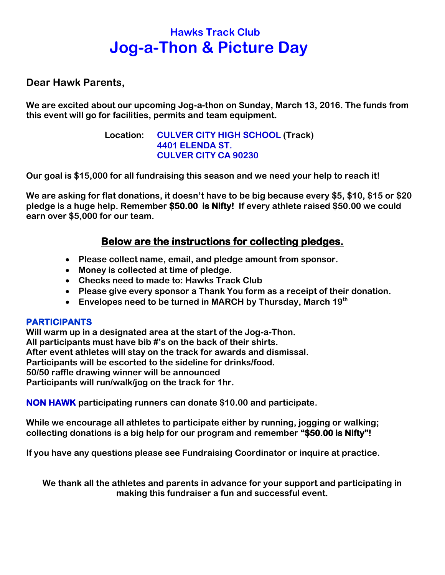**Dear Hawk Parents,** 

**We are excited about our upcoming Jog-a-thon on Sunday, March 13, 2016. The funds from this event will go for facilities, permits and team equipment.**

> **Location: CULVER CITY HIGH SCHOOL (Track) 4401 ELENDA ST. CULVER CITY CA 90230**

**Our goal is \$15,000 for all fundraising this season and we need your help to reach it!**

**We are asking for flat donations, it doesn't have to be big because every \$5, \$10, \$15 or \$20 pledge is a huge help. Remember \$50.00 is Nifty! If every athlete raised \$50.00 we could earn over \$5,000 for our team.** 

### **Below are the instructions for collecting pledges.**

- **Please collect name, email, and pledge amount from sponsor.**
- **Money is collected at time of pledge.**
- **Checks need to made to: Hawks Track Club**
- **Please give every sponsor a Thank You form as a receipt of their donation.**
- **Envelopes need to be turned in MARCH by Thursday, March 19th**

#### **PARTICIPANTS**

**Will warm up in a designated area at the start of the Jog-a-Thon. All participants must have bib #'s on the back of their shirts. After event athletes will stay on the track for awards and dismissal. Participants will be escorted to the sideline for drinks/food. 50/50 raffle drawing winner will be announced Participants will run/walk/jog on the track for 1hr.** 

**NON HAWK participating runners can donate \$10.00 and participate.**

**While we encourage all athletes to participate either by running, jogging or walking; collecting donations is a big help for our program and remember "\$50.00 is Nifty"!**

**If you have any questions please see Fundraising Coordinator or inquire at practice.**

**We thank all the athletes and parents in advance for your support and participating in making this fundraiser a fun and successful event.**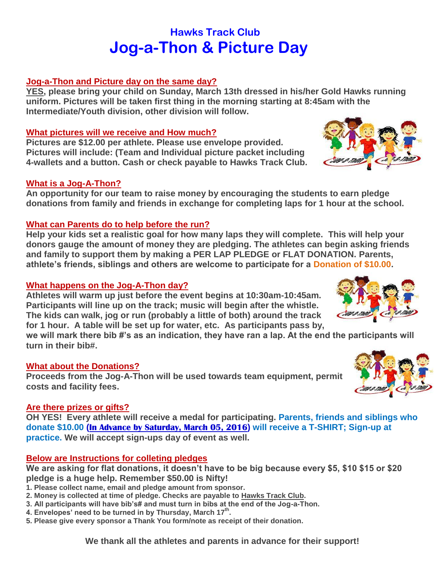#### **Jog-a-Thon and Picture day on the same day?**

**YES, please bring your child on Sunday, March 13th dressed in his/her Gold Hawks running uniform. Pictures will be taken first thing in the morning starting at 8:45am with the Intermediate/Youth division, other division will follow.** 

#### **What pictures will we receive and How much?**

**Pictures are \$12.00 per athlete. Please use envelope provided. Pictures will include: (Team and Individual picture packet including 4-wallets and a button. Cash or check payable to Hawks Track Club.**

#### **What is a Jog-A-Thon?**

**An opportunity for our team to raise money by encouraging the students to earn pledge donations from family and friends in exchange for completing laps for 1 hour at the school.** 

#### **What can Parents do to help before the run?**

**Help your kids set a realistic goal for how many laps they will complete. This will help your donors gauge the amount of money they are pledging. The athletes can begin asking friends and family to support them by making a PER LAP PLEDGE or FLAT DONATION. Parents, athlete's friends, siblings and others are welcome to participate for a Donation of \$10.00.**

#### **What happens on the Jog-A-Thon day?**

**Athletes will warm up just before the event begins at 10:30am-10:45am. Participants will line up on the track; music will begin after the whistle. The kids can walk, jog or run (probably a little of both) around the track for 1 hour. A table will be set up for water, etc. As participants pass by,** 

**we will mark there bib #'s as an indication, they have ran a lap. At the end the participants will turn in their bib#.**

#### **What about the Donations?**

**Proceeds from the Jog-A-Thon will be used towards team equipment, permit costs and facility fees.** 

#### **Are there prizes or gifts?**

**OH YES! Every athlete will receive a medal for participating. Parents, friends and siblings who donate \$10.00 (In Advance by Saturday, March 05, 2016) will receive a T-SHIRT; Sign-up at practice. We will accept sign-ups day of event as well.**

#### **Below are Instructions for colleting pledges**

**We are asking for flat donations, it doesn't have to be big because every \$5, \$10 \$15 or \$20 pledge is a huge help. Remember \$50.00 is Nifty!** 

- **1. Please collect name, email and pledge amount from sponsor.**
- **2. Money is collected at time of pledge. Checks are payable to Hawks Track Club.**
- **3. All participants will have bib's# and must turn in bibs at the end of the Jog-a-Thon.**
- **4. Envelopes' need to be turned in by Thursday, March 17 th .**
- **5. Please give every sponsor a Thank You form/note as receipt of their donation.**